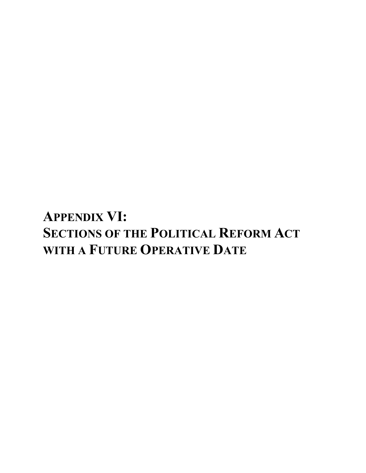# **APPENDIX VI: SECTIONS OF THE POLITICAL REFORM ACT WITH A FUTURE OPERATIVE DATE**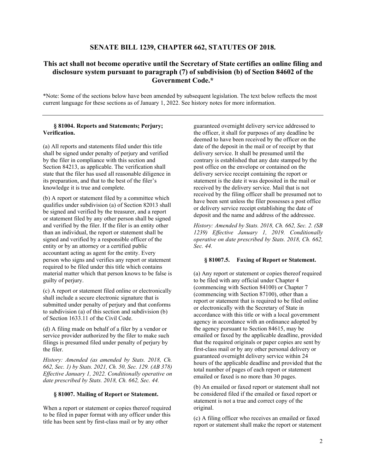## **SENATE BILL 1239, CHAPTER 662, STATUTES OF 2018.**

# **This act shall not become operative until the Secretary of State certifies an online filing and disclosure system pursuant to paragraph (7) of subdivision (b) of Section 84602 of the Government Code.\***

\*Note: Some of the sections below have been amended by subsequent legislation. The text below reflects the most current language for these sections as of January 1, 2022. See history notes for more information.

## **§ 81004. Reports and Statements; Perjury; Verification.**

(a) All reports and statements filed under this title shall be signed under penalty of perjury and verified by the filer in compliance with this section and Section 84213, as applicable. The verification shall state that the filer has used all reasonable diligence in its preparation, and that to the best of the filer's knowledge it is true and complete.

(b) A report or statement filed by a committee which qualifies under subdivision (a) of Section 82013 shall be signed and verified by the treasurer, and a report or statement filed by any other person shall be signed and verified by the filer. If the filer is an entity other than an individual, the report or statement shall be signed and verified by a responsible officer of the entity or by an attorney or a certified public accountant acting as agent for the entity. Every person who signs and verifies any report or statement required to be filed under this title which contains material matter which that person knows to be false is guilty of perjury.

(c) A report or statement filed online or electronically shall include a secure electronic signature that is submitted under penalty of perjury and that conforms to subdivision (a) of this section and subdivision (b) of Section 1633.11 of the Civil Code.

(d) A filing made on behalf of a filer by a vendor or service provider authorized by the filer to make such filings is presumed filed under penalty of perjury by the filer.

*History: Amended (as amended by Stats. 2018, Ch. 662, Sec. 1) by Stats. 2021, Ch. 50, Sec. 129. (AB 378) Effective January 1, 2022. Conditionally operative on date prescribed by Stats. 2018, Ch. 662, Sec. 44.*

#### **§ 81007. Mailing of Report or Statement.**

When a report or statement or copies thereof required to be filed in paper format with any officer under this title has been sent by first-class mail or by any other

guaranteed overnight delivery service addressed to the officer, it shall for purposes of any deadline be deemed to have been received by the officer on the date of the deposit in the mail or of receipt by that delivery service. It shall be presumed until the contrary is established that any date stamped by the post office on the envelope or contained on the delivery service receipt containing the report or statement is the date it was deposited in the mail or received by the delivery service. Mail that is not received by the filing officer shall be presumed not to have been sent unless the filer possesses a post office or delivery service receipt establishing the date of deposit and the name and address of the addressee.

*History: Amended by Stats. 2018, Ch. 662, Sec. 2. (SB 1239) Effective January 1, 2019. Conditionally operative on date prescribed by Stats. 2018, Ch. 662, Sec. 44.*

#### **§ 81007.5. Faxing of Report or Statement.**

(a) Any report or statement or copies thereof required to be filed with any official under Chapter 4 (commencing with Section 84100) or Chapter 7 (commencing with Section 87100), other than a report or statement that is required to be filed online or electronically with the Secretary of State in accordance with this title or with a local government agency in accordance with an ordinance adopted by the agency pursuant to Section 84615, may be emailed or faxed by the applicable deadline, provided that the required originals or paper copies are sent by first-class mail or by any other personal delivery or guaranteed overnight delivery service within 24 hours of the applicable deadline and provided that the total number of pages of each report or statement emailed or faxed is no more than 30 pages.

(b) An emailed or faxed report or statement shall not be considered filed if the emailed or faxed report or statement is not a true and correct copy of the original.

(c) A filing officer who receives an emailed or faxed report or statement shall make the report or statement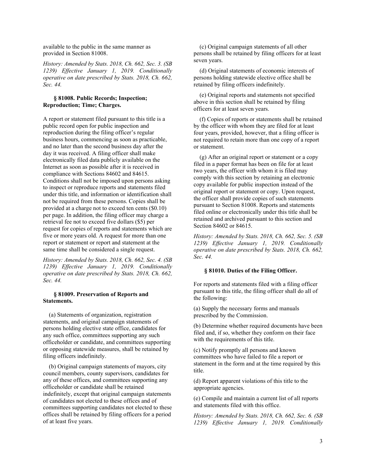available to the public in the same manner as provided in Section 81008.

*History: Amended by Stats. 2018, Ch. 662, Sec. 3. (SB 1239) Effective January 1, 2019. Conditionally operative on date prescribed by Stats. 2018, Ch. 662, Sec. 44.*

## **§ 81008. Public Records; Inspection; Reproduction; Time; Charges.**

A report or statement filed pursuant to this title is a public record open for public inspection and reproduction during the filing officer's regular business hours, commencing as soon as practicable, and no later than the second business day after the day it was received. A filing officer shall make electronically filed data publicly available on the Internet as soon as possible after it is received in compliance with Sections 84602 and 84615. Conditions shall not be imposed upon persons asking to inspect or reproduce reports and statements filed under this title, and information or identification shall not be required from these persons. Copies shall be provided at a charge not to exceed ten cents (\$0.10) per page. In addition, the filing officer may charge a retrieval fee not to exceed five dollars (\$5) per request for copies of reports and statements which are five or more years old. A request for more than one report or statement or report and statement at the same time shall be considered a single request.

*History: Amended by Stats. 2018, Ch. 662, Sec. 4. (SB 1239) Effective January 1, 2019. Conditionally operative on date prescribed by Stats. 2018, Ch. 662, Sec. 44.*

## **§ 81009. Preservation of Reports and Statements.**

(a) Statements of organization, registration statements, and original campaign statements of persons holding elective state office, candidates for any such office, committees supporting any such officeholder or candidate, and committees supporting or opposing statewide measures, shall be retained by filing officers indefinitely.

(b) Original campaign statements of mayors, city council members, county supervisors, candidates for any of these offices, and committees supporting any officeholder or candidate shall be retained indefinitely, except that original campaign statements of candidates not elected to these offices and of committees supporting candidates not elected to these offices shall be retained by filing officers for a period of at least five years.

(c) Original campaign statements of all other persons shall be retained by filing officers for at least seven years.

(d) Original statements of economic interests of persons holding statewide elective office shall be retained by filing officers indefinitely.

(e) Original reports and statements not specified above in this section shall be retained by filing officers for at least seven years.

(f) Copies of reports or statements shall be retained by the officer with whom they are filed for at least four years, provided, however, that a filing officer is not required to retain more than one copy of a report or statement.

(g) After an original report or statement or a copy filed in a paper format has been on file for at least two years, the officer with whom it is filed may comply with this section by retaining an electronic copy available for public inspection instead of the original report or statement or copy. Upon request, the officer shall provide copies of such statements pursuant to Section 81008. Reports and statements filed online or electronically under this title shall be retained and archived pursuant to this section and Section 84602 or 84615.

*History: Amended by Stats. 2018, Ch. 662, Sec. 5. (SB 1239) Effective January 1, 2019. Conditionally operative on date prescribed by Stats. 2018, Ch. 662, Sec. 44.*

#### **§ 81010. Duties of the Filing Officer.**

For reports and statements filed with a filing officer pursuant to this title, the filing officer shall do all of the following:

(a) Supply the necessary forms and manuals prescribed by the Commission.

(b) Determine whether required documents have been filed and, if so, whether they conform on their face with the requirements of this title.

(c) Notify promptly all persons and known committees who have failed to file a report or statement in the form and at the time required by this title.

(d) Report apparent violations of this title to the appropriate agencies.

(e) Compile and maintain a current list of all reports and statements filed with this office.

*History: Amended by Stats. 2018, Ch. 662, Sec. 6. (SB 1239) Effective January 1, 2019. Conditionally*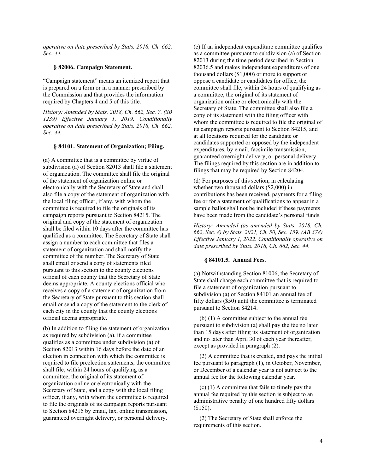*operative on date prescribed by Stats. 2018, Ch. 662, Sec. 44.*

#### **§ 82006. Campaign Statement.**

"Campaign statement" means an itemized report that is prepared on a form or in a manner prescribed by the Commission and that provides the information required by Chapters 4 and 5 of this title.

*History: Amended by Stats. 2018, Ch. 662, Sec. 7. (SB 1239) Effective January 1, 2019. Conditionally operative on date prescribed by Stats. 2018, Ch. 662, Sec. 44.*

#### **§ 84101. Statement of Organization; Filing.**

(a) A committee that is a committee by virtue of subdivision (a) of Section 82013 shall file a statement of organization. The committee shall file the original of the statement of organization online or electronically with the Secretary of State and shall also file a copy of the statement of organization with the local filing officer, if any, with whom the committee is required to file the originals of its campaign reports pursuant to Section 84215. The original and copy of the statement of organization shall be filed within 10 days after the committee has qualified as a committee. The Secretary of State shall assign a number to each committee that files a statement of organization and shall notify the committee of the number. The Secretary of State shall email or send a copy of statements filed pursuant to this section to the county elections official of each county that the Secretary of State deems appropriate. A county elections official who receives a copy of a statement of organization from the Secretary of State pursuant to this section shall email or send a copy of the statement to the clerk of each city in the county that the county elections official deems appropriate.

(b) In addition to filing the statement of organization as required by subdivision (a), if a committee qualifies as a committee under subdivision (a) of Section 82013 within 16 days before the date of an election in connection with which the committee is required to file preelection statements, the committee shall file, within 24 hours of qualifying as a committee, the original of its statement of organization online or electronically with the Secretary of State, and a copy with the local filing officer, if any, with whom the committee is required to file the originals of its campaign reports pursuant to Section 84215 by email, fax, online transmission, guaranteed overnight delivery, or personal delivery.

(c) If an independent expenditure committee qualifies as a committee pursuant to subdivision (a) of Section 82013 during the time period described in Section 82036.5 and makes independent expenditures of one thousand dollars (\$1,000) or more to support or oppose a candidate or candidates for office, the committee shall file, within 24 hours of qualifying as a committee, the original of its statement of organization online or electronically with the Secretary of State. The committee shall also file a copy of its statement with the filing officer with whom the committee is required to file the original of its campaign reports pursuant to Section 84215, and at all locations required for the candidate or candidates supported or opposed by the independent expenditures, by email, facsimile transmission, guaranteed overnight delivery, or personal delivery. The filings required by this section are in addition to filings that may be required by Section 84204.

(d) For purposes of this section, in calculating whether two thousand dollars (\$2,000) in contributions has been received, payments for a filing fee or for a statement of qualifications to appear in a sample ballot shall not be included if these payments have been made from the candidate's personal funds.

*History: Amended (as amended by Stats. 2018, Ch. 662, Sec. 8) by Stats. 2021, Ch. 50, Sec. 159. (AB 378) Effective January 1, 2022. Conditionally operative on date prescribed by Stats. 2018, Ch. 662, Sec. 44.*

#### **§ 84101.5. Annual Fees.**

(a) Notwithstanding Section 81006, the Secretary of State shall charge each committee that is required to file a statement of organization pursuant to subdivision (a) of Section 84101 an annual fee of fifty dollars (\$50) until the committee is terminated pursuant to Section 84214.

(b) (1) A committee subject to the annual fee pursuant to subdivision (a) shall pay the fee no later than 15 days after filing its statement of organization and no later than April 30 of each year thereafter, except as provided in paragraph (2).

(2) A committee that is created, and pays the initial fee pursuant to paragraph (1), in October, November, or December of a calendar year is not subject to the annual fee for the following calendar year.

(c) (1) A committee that fails to timely pay the annual fee required by this section is subject to an administrative penalty of one hundred fifty dollars (\$150).

(2) The Secretary of State shall enforce the requirements of this section.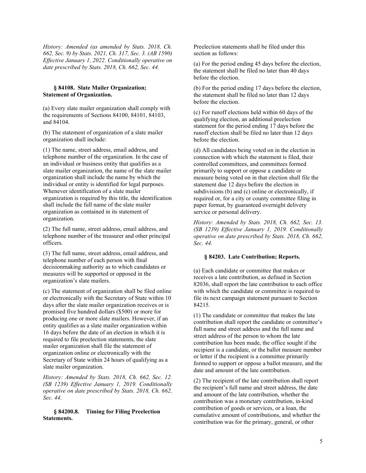*History: Amended (as amended by Stats. 2018, Ch. 662, Sec. 9) by Stats. 2021, Ch. 317, Sec. 3. (AB 1590) Effective January 1, 2022. Conditionally operative on date prescribed by Stats. 2018, Ch. 662, Sec. 44.*

## **§ 84108. Slate Mailer Organization; Statement of Organization.**

(a) Every slate mailer organization shall comply with the requirements of Sections 84100, 84101, 84103, and 84104.

(b) The statement of organization of a slate mailer organization shall include:

(1) The name, street address, email address, and telephone number of the organization. In the case of an individual or business entity that qualifies as a slate mailer organization, the name of the slate mailer organization shall include the name by which the individual or entity is identified for legal purposes. Whenever identification of a slate mailer organization is required by this title, the identification shall include the full name of the slate mailer organization as contained in its statement of organization.

(2) The full name, street address, email address, and telephone number of the treasurer and other principal officers.

(3) The full name, street address, email address, and telephone number of each person with final decisionmaking authority as to which candidates or measures will be supported or opposed in the organization's slate mailers.

(c) The statement of organization shall be filed online or electronically with the Secretary of State within 10 days after the slate mailer organization receives or is promised five hundred dollars (\$500) or more for producing one or more slate mailers. However, if an entity qualifies as a slate mailer organization within 16 days before the date of an election in which it is required to file preelection statements, the slate mailer organization shall file the statement of organization online or electronically with the Secretary of State within 24 hours of qualifying as a slate mailer organization.

*History: Amended by Stats. 2018, Ch. 662, Sec. 12. (SB 1239) Effective January 1, 2019. Conditionally operative on date prescribed by Stats. 2018, Ch. 662, Sec. 44.*

## **§ 84200.8. Timing for Filing Preelection Statements.**

Preelection statements shall be filed under this section as follows:

(a) For the period ending 45 days before the election, the statement shall be filed no later than 40 days before the election.

(b) For the period ending 17 days before the election, the statement shall be filed no later than 12 days before the election.

(c) For runoff elections held within 60 days of the qualifying election, an additional preelection statement for the period ending 17 days before the runoff election shall be filed no later than 12 days before the election.

(d) All candidates being voted on in the election in connection with which the statement is filed, their controlled committees, and committees formed primarily to support or oppose a candidate or measure being voted on in that election shall file the statement due 12 days before the election in subdivisions (b) and (c) online or electronically, if required or, for a city or county committee filing in paper format, by guaranteed overnight delivery service or personal delivery.

*History: Amended by Stats. 2018, Ch. 662, Sec. 13. (SB 1239) Effective January 1, 2019. Conditionally operative on date prescribed by Stats. 2018, Ch. 662, Sec. 44.*

#### **§ 84203. Late Contribution; Reports.**

(a) Each candidate or committee that makes or receives a late contribution, as defined in Section 82036, shall report the late contribution to each office with which the candidate or committee is required to file its next campaign statement pursuant to Section 84215.

(1) The candidate or committee that makes the late contribution shall report the candidate or committee's full name and street address and the full name and street address of the person to whom the late contribution has been made, the office sought if the recipient is a candidate, or the ballot measure number or letter if the recipient is a committee primarily formed to support or oppose a ballot measure, and the date and amount of the late contribution.

(2) The recipient of the late contribution shall report the recipient's full name and street address, the date and amount of the late contribution, whether the contribution was a monetary contribution, in-kind contribution of goods or services, or a loan, the cumulative amount of contributions, and whether the contribution was for the primary, general, or other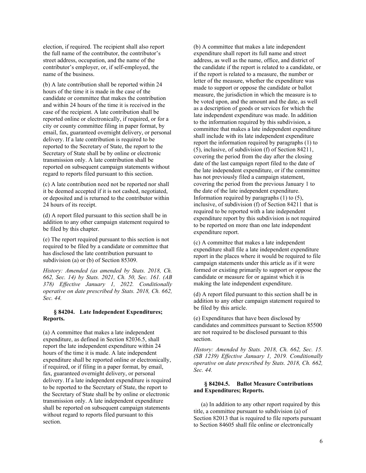election, if required. The recipient shall also report the full name of the contributor, the contributor's street address, occupation, and the name of the contributor's employer, or, if self-employed, the name of the business.

(b) A late contribution shall be reported within 24 hours of the time it is made in the case of the candidate or committee that makes the contribution and within 24 hours of the time it is received in the case of the recipient. A late contribution shall be reported online or electronically, if required, or for a city or county committee filing in paper format, by email, fax, guaranteed overnight delivery, or personal delivery. If a late contribution is required to be reported to the Secretary of State, the report to the Secretary of State shall be by online or electronic transmission only. A late contribution shall be reported on subsequent campaign statements without regard to reports filed pursuant to this section.

(c) A late contribution need not be reported nor shall it be deemed accepted if it is not cashed, negotiated, or deposited and is returned to the contributor within 24 hours of its receipt.

(d) A report filed pursuant to this section shall be in addition to any other campaign statement required to be filed by this chapter.

(e) The report required pursuant to this section is not required to be filed by a candidate or committee that has disclosed the late contribution pursuant to subdivision (a) or (b) of Section 85309.

*History: Amended (as amended by Stats. 2018, Ch. 662, Sec. 14) by Stats. 2021, Ch. 50, Sec. 161. (AB 378) Effective January 1, 2022. Conditionally operative on date prescribed by Stats. 2018, Ch. 662, Sec. 44.*

## **§ 84204. Late Independent Expenditures; Reports.**

(a) A committee that makes a late independent expenditure, as defined in Section 82036.5, shall report the late independent expenditure within 24 hours of the time it is made. A late independent expenditure shall be reported online or electronically, if required, or if filing in a paper format, by email, fax, guaranteed overnight delivery, or personal delivery. If a late independent expenditure is required to be reported to the Secretary of State, the report to the Secretary of State shall be by online or electronic transmission only. A late independent expenditure shall be reported on subsequent campaign statements without regard to reports filed pursuant to this section.

(b) A committee that makes a late independent expenditure shall report its full name and street address, as well as the name, office, and district of the candidate if the report is related to a candidate, or if the report is related to a measure, the number or letter of the measure, whether the expenditure was made to support or oppose the candidate or ballot measure, the jurisdiction in which the measure is to be voted upon, and the amount and the date, as well as a description of goods or services for which the late independent expenditure was made. In addition to the information required by this subdivision, a committee that makes a late independent expenditure shall include with its late independent expenditure report the information required by paragraphs (1) to (5), inclusive, of subdivision (f) of Section 84211, covering the period from the day after the closing date of the last campaign report filed to the date of the late independent expenditure, or if the committee has not previously filed a campaign statement, covering the period from the previous January 1 to the date of the late independent expenditure. Information required by paragraphs (1) to (5), inclusive, of subdivision (f) of Section 84211 that is required to be reported with a late independent expenditure report by this subdivision is not required to be reported on more than one late independent expenditure report.

(c) A committee that makes a late independent expenditure shall file a late independent expenditure report in the places where it would be required to file campaign statements under this article as if it were formed or existing primarily to support or oppose the candidate or measure for or against which it is making the late independent expenditure.

(d) A report filed pursuant to this section shall be in addition to any other campaign statement required to be filed by this article.

(e) Expenditures that have been disclosed by candidates and committees pursuant to Section 85500 are not required to be disclosed pursuant to this section.

*History: Amended by Stats. 2018, Ch. 662, Sec. 15. (SB 1239) Effective January 1, 2019. Conditionally operative on date prescribed by Stats. 2018, Ch. 662, Sec. 44.*

## **§ 84204.5. Ballot Measure Contributions and Expenditures; Reports.**

(a) In addition to any other report required by this title, a committee pursuant to subdivision (a) of Section 82013 that is required to file reports pursuant to Section 84605 shall file online or electronically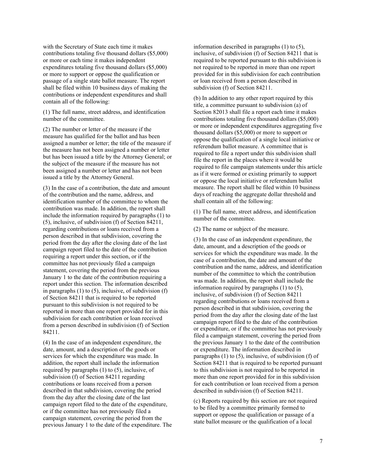with the Secretary of State each time it makes contributions totaling five thousand dollars (\$5,000) or more or each time it makes independent expenditures totaling five thousand dollars (\$5,000) or more to support or oppose the qualification or passage of a single state ballot measure. The report shall be filed within 10 business days of making the contributions or independent expenditures and shall contain all of the following:

(1) The full name, street address, and identification number of the committee.

(2) The number or letter of the measure if the measure has qualified for the ballot and has been assigned a number or letter; the title of the measure if the measure has not been assigned a number or letter but has been issued a title by the Attorney General; or the subject of the measure if the measure has not been assigned a number or letter and has not been issued a title by the Attorney General.

(3) In the case of a contribution, the date and amount of the contribution and the name, address, and identification number of the committee to whom the contribution was made. In addition, the report shall include the information required by paragraphs (1) to (5), inclusive, of subdivision (f) of Section 84211, regarding contributions or loans received from a person described in that subdivision, covering the period from the day after the closing date of the last campaign report filed to the date of the contribution requiring a report under this section, or if the committee has not previously filed a campaign statement, covering the period from the previous January 1 to the date of the contribution requiring a report under this section. The information described in paragraphs  $(1)$  to  $(5)$ , inclusive, of subdivision  $(f)$ of Section 84211 that is required to be reported pursuant to this subdivision is not required to be reported in more than one report provided for in this subdivision for each contribution or loan received from a person described in subdivision (f) of Section 84211.

(4) In the case of an independent expenditure, the date, amount, and a description of the goods or services for which the expenditure was made. In addition, the report shall include the information required by paragraphs (1) to (5), inclusive, of subdivision (f) of Section 84211 regarding contributions or loans received from a person described in that subdivision, covering the period from the day after the closing date of the last campaign report filed to the date of the expenditure, or if the committee has not previously filed a campaign statement, covering the period from the previous January 1 to the date of the expenditure. The information described in paragraphs (1) to (5), inclusive, of subdivision (f) of Section 84211 that is required to be reported pursuant to this subdivision is not required to be reported in more than one report provided for in this subdivision for each contribution or loan received from a person described in subdivision (f) of Section 84211.

(b) In addition to any other report required by this title, a committee pursuant to subdivision (a) of Section 82013 shall file a report each time it makes contributions totaling five thousand dollars (\$5,000) or more or independent expenditures aggregating five thousand dollars (\$5,000) or more to support or oppose the qualification of a single local initiative or referendum ballot measure. A committee that is required to file a report under this subdivision shall file the report in the places where it would be required to file campaign statements under this article as if it were formed or existing primarily to support or oppose the local initiative or referendum ballot measure. The report shall be filed within 10 business days of reaching the aggregate dollar threshold and shall contain all of the following:

(1) The full name, street address, and identification number of the committee.

(2) The name or subject of the measure.

(3) In the case of an independent expenditure, the date, amount, and a description of the goods or services for which the expenditure was made. In the case of a contribution, the date and amount of the contribution and the name, address, and identification number of the committee to which the contribution was made. In addition, the report shall include the information required by paragraphs (1) to (5), inclusive, of subdivision (f) of Section 84211 regarding contributions or loans received from a person described in that subdivision, covering the period from the day after the closing date of the last campaign report filed to the date of the contribution or expenditure, or if the committee has not previously filed a campaign statement, covering the period from the previous January 1 to the date of the contribution or expenditure. The information described in paragraphs (1) to (5), inclusive, of subdivision (f) of Section 84211 that is required to be reported pursuant to this subdivision is not required to be reported in more than one report provided for in this subdivision for each contribution or loan received from a person described in subdivision (f) of Section 84211.

(c) Reports required by this section are not required to be filed by a committee primarily formed to support or oppose the qualification or passage of a state ballot measure or the qualification of a local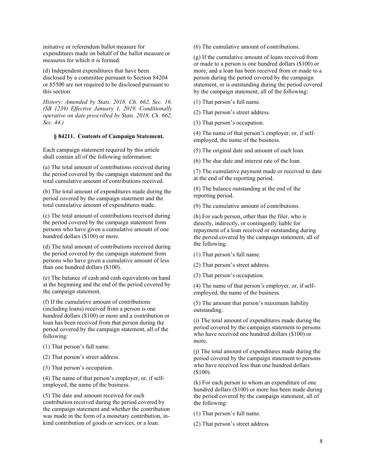initiative or referendum ballot measure for expenditures made on behalf of the ballot measure or measures for which it is formed.

(d) Independent expenditures that have been disclosed by a committee pursuant to Section 84204 or 85500 are not required to be disclosed pursuant to this section.

*History: Amended by Stats. 2018, Ch. 662, Sec. 16. (SB 1239) Effective January 1, 2019. Conditionally operative on date prescribed by Stats. 2018, Ch. 662, Sec. 44.)*

## **§ 84211. Contents of Campaign Statement.**

Each campaign statement required by this article shall contain all of the following information:

(a) The total amount of contributions received during the period covered by the campaign statement and the total cumulative amount of contributions received.

(b) The total amount of expenditures made during the period covered by the campaign statement and the total cumulative amount of expenditures made.

(c) The total amount of contributions received during the period covered by the campaign statement from persons who have given a cumulative amount of one hundred dollars (\$100) or more.

(d) The total amount of contributions received during the period covered by the campaign statement from persons who have given a cumulative amount of less than one hundred dollars (\$100).

(e) The balance of cash and cash equivalents on hand at the beginning and the end of the period covered by the campaign statement.

(f) If the cumulative amount of contributions (including loans) received from a person is one hundred dollars (\$100) or more and a contribution or loan has been received from that person during the period covered by the campaign statement, all of the following:

(1) That person's full name.

(2) That person's street address.

(3) That person's occupation.

(4) The name of that person's employer, or, if selfemployed, the name of the business.

(5) The date and amount received for each contribution received during the period covered by the campaign statement and whether the contribution was made in the form of a monetary contribution, inkind contribution of goods or services, or a loan.

(6) The cumulative amount of contributions.

(g) If the cumulative amount of loans received from or made to a person is one hundred dollars (\$100) or more, and a loan has been received from or made to a person during the period covered by the campaign statement, or is outstanding during the period covered by the campaign statement, all of the following:

(1) That person's full name.

(2) That person's street address.

(3) That person's occupation.

(4) The name of that person's employer, or, if selfemployed, the name of the business.

(5) The original date and amount of each loan.

(6) The due date and interest rate of the loan.

(7) The cumulative payment made or received to date at the end of the reporting period.

(8) The balance outstanding at the end of the reporting period.

(9) The cumulative amount of contributions.

(h) For each person, other than the filer, who is directly, indirectly, or contingently liable for repayment of a loan received or outstanding during the period covered by the campaign statement, all of the following:

(1) That person's full name.

(2) That person's street address.

(3) That person's occupation.

(4) The name of that person's employer, or, if selfemployed, the name of the business.

(5) The amount that person's maximum liability outstanding.

(i) The total amount of expenditures made during the period covered by the campaign statement to persons who have received one hundred dollars (\$100) or more.

(j) The total amount of expenditures made during the period covered by the campaign statement to persons who have received less than one hundred dollars (\$100).

(k) For each person to whom an expenditure of one hundred dollars (\$100) or more has been made during the period covered by the campaign statement, all of the following:

- (1) That person's full name.
- (2) That person's street address.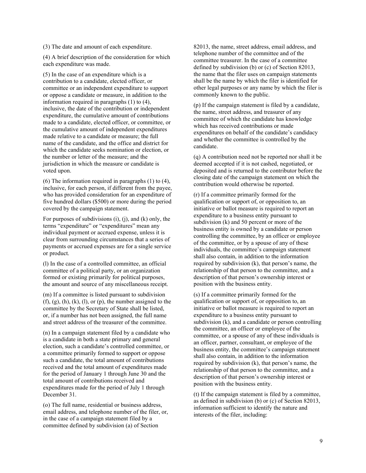(3) The date and amount of each expenditure.

(4) A brief description of the consideration for which each expenditure was made.

(5) In the case of an expenditure which is a contribution to a candidate, elected officer, or committee or an independent expenditure to support or oppose a candidate or measure, in addition to the information required in paragraphs (1) to (4), inclusive, the date of the contribution or independent expenditure, the cumulative amount of contributions made to a candidate, elected officer, or committee, or the cumulative amount of independent expenditures made relative to a candidate or measure; the full name of the candidate, and the office and district for which the candidate seeks nomination or election, or the number or letter of the measure; and the jurisdiction in which the measure or candidate is voted upon.

(6) The information required in paragraphs (1) to (4), inclusive, for each person, if different from the payee, who has provided consideration for an expenditure of five hundred dollars (\$500) or more during the period covered by the campaign statement.

For purposes of subdivisions  $(i)$ ,  $(i)$ , and  $(k)$  only, the terms "expenditure" or "expenditures" mean any individual payment or accrued expense, unless it is clear from surrounding circumstances that a series of payments or accrued expenses are for a single service or product.

(l) In the case of a controlled committee, an official committee of a political party, or an organization formed or existing primarily for political purposes, the amount and source of any miscellaneous receipt.

(m) If a committee is listed pursuant to subdivision  $(f)$ ,  $(g)$ ,  $(h)$ ,  $(k)$ ,  $(l)$ , or  $(p)$ , the number assigned to the committee by the Secretary of State shall be listed, or, if a number has not been assigned, the full name and street address of the treasurer of the committee.

(n) In a campaign statement filed by a candidate who is a candidate in both a state primary and general election, such a candidate's controlled committee, or a committee primarily formed to support or oppose such a candidate, the total amount of contributions received and the total amount of expenditures made for the period of January 1 through June 30 and the total amount of contributions received and expenditures made for the period of July 1 through December 31.

(o) The full name, residential or business address, email address, and telephone number of the filer, or, in the case of a campaign statement filed by a committee defined by subdivision (a) of Section

82013, the name, street address, email address, and telephone number of the committee and of the committee treasurer. In the case of a committee defined by subdivision (b) or (c) of Section 82013, the name that the filer uses on campaign statements shall be the name by which the filer is identified for other legal purposes or any name by which the filer is commonly known to the public.

(p) If the campaign statement is filed by a candidate, the name, street address, and treasurer of any committee of which the candidate has knowledge which has received contributions or made expenditures on behalf of the candidate's candidacy and whether the committee is controlled by the candidate.

(q) A contribution need not be reported nor shall it be deemed accepted if it is not cashed, negotiated, or deposited and is returned to the contributor before the closing date of the campaign statement on which the contribution would otherwise be reported.

(r) If a committee primarily formed for the qualification or support of, or opposition to, an initiative or ballot measure is required to report an expenditure to a business entity pursuant to subdivision (k) and 50 percent or more of the business entity is owned by a candidate or person controlling the committee, by an officer or employee of the committee, or by a spouse of any of these individuals, the committee's campaign statement shall also contain, in addition to the information required by subdivision (k), that person's name, the relationship of that person to the committee, and a description of that person's ownership interest or position with the business entity.

(s) If a committee primarily formed for the qualification or support of, or opposition to, an initiative or ballot measure is required to report an expenditure to a business entity pursuant to subdivision (k), and a candidate or person controlling the committee, an officer or employee of the committee, or a spouse of any of these individuals is an officer, partner, consultant, or employee of the business entity, the committee's campaign statement shall also contain, in addition to the information required by subdivision (k), that person's name, the relationship of that person to the committee, and a description of that person's ownership interest or position with the business entity.

(t) If the campaign statement is filed by a committee, as defined in subdivision (b) or (c) of Section 82013, information sufficient to identify the nature and interests of the filer, including: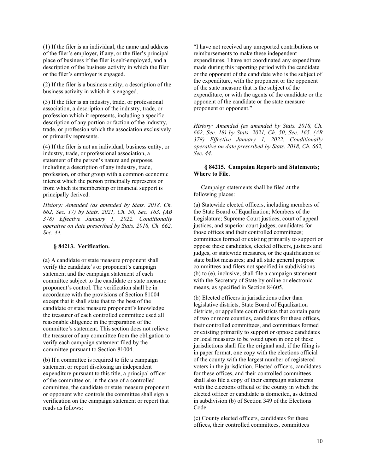(1) If the filer is an individual, the name and address of the filer's employer, if any, or the filer's principal place of business if the filer is self-employed, and a description of the business activity in which the filer or the filer's employer is engaged.

(2) If the filer is a business entity, a description of the business activity in which it is engaged.

(3) If the filer is an industry, trade, or professional association, a description of the industry, trade, or profession which it represents, including a specific description of any portion or faction of the industry, trade, or profession which the association exclusively or primarily represents.

(4) If the filer is not an individual, business entity, or industry, trade, or professional association, a statement of the person's nature and purposes, including a description of any industry, trade, profession, or other group with a common economic interest which the person principally represents or from which its membership or financial support is principally derived.

*History: Amended (as amended by Stats. 2018, Ch. 662, Sec. 17) by Stats. 2021, Ch. 50, Sec. 163. (AB 378) Effective January 1, 2022. Conditionally operative on date prescribed by Stats. 2018, Ch. 662, Sec. 44.*

## **§ 84213. Verification.**

(a) A candidate or state measure proponent shall verify the candidate's or proponent's campaign statement and the campaign statement of each committee subject to the candidate or state measure proponent's control. The verification shall be in accordance with the provisions of Section 81004 except that it shall state that to the best of the candidate or state measure proponent's knowledge the treasurer of each controlled committee used all reasonable diligence in the preparation of the committee's statement. This section does not relieve the treasurer of any committee from the obligation to verify each campaign statement filed by the committee pursuant to Section 81004.

(b) If a committee is required to file a campaign statement or report disclosing an independent expenditure pursuant to this title, a principal officer of the committee or, in the case of a controlled committee, the candidate or state measure proponent or opponent who controls the committee shall sign a verification on the campaign statement or report that reads as follows:

"I have not received any unreported contributions or reimbursements to make these independent expenditures. I have not coordinated any expenditure made during this reporting period with the candidate or the opponent of the candidate who is the subject of the expenditure, with the proponent or the opponent of the state measure that is the subject of the expenditure, or with the agents of the candidate or the opponent of the candidate or the state measure proponent or opponent."

*History: Amended (as amended by Stats. 2018, Ch. 662, Sec. 18) by Stats. 2021, Ch. 50, Sec. 165. (AB 378) Effective January 1, 2022. Conditionally operative on date prescribed by Stats. 2018, Ch. 662, Sec. 44.*

#### **§ 84215. Campaign Reports and Statements; Where to File.**

Campaign statements shall be filed at the following places:

(a) Statewide elected officers, including members of the State Board of Equalization; Members of the Legislature; Supreme Court justices, court of appeal justices, and superior court judges; candidates for those offices and their controlled committees; committees formed or existing primarily to support or oppose these candidates, elected officers, justices and judges, or statewide measures, or the qualification of state ballot measures; and all state general purpose committees and filers not specified in subdivisions (b) to (e), inclusive, shall file a campaign statement with the Secretary of State by online or electronic means, as specified in Section 84605.

(b) Elected officers in jurisdictions other than legislative districts, State Board of Equalization districts, or appellate court districts that contain parts of two or more counties, candidates for these offices, their controlled committees, and committees formed or existing primarily to support or oppose candidates or local measures to be voted upon in one of these jurisdictions shall file the original and, if the filing is in paper format, one copy with the elections official of the county with the largest number of registered voters in the jurisdiction. Elected officers, candidates for these offices, and their controlled committees shall also file a copy of their campaign statements with the elections official of the county in which the elected officer or candidate is domiciled, as defined in subdivision (b) of Section 349 of the Elections Code.

(c) County elected officers, candidates for these offices, their controlled committees, committees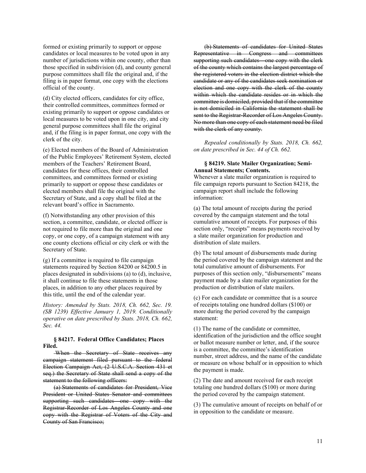formed or existing primarily to support or oppose candidates or local measures to be voted upon in any number of jurisdictions within one county, other than those specified in subdivision (d), and county general purpose committees shall file the original and, if the filing is in paper format, one copy with the elections official of the county.

(d) City elected officers, candidates for city office, their controlled committees, committees formed or existing primarily to support or oppose candidates or local measures to be voted upon in one city, and city general purpose committees shall file the original and, if the filing is in paper format, one copy with the clerk of the city.

(e) Elected members of the Board of Administration of the Public Employees' Retirement System, elected members of the Teachers' Retirement Board, candidates for these offices, their controlled committees, and committees formed or existing primarily to support or oppose these candidates or elected members shall file the original with the Secretary of State, and a copy shall be filed at the relevant board's office in Sacramento.

(f) Notwithstanding any other provision of this section, a committee, candidate, or elected officer is not required to file more than the original and one copy, or one copy, of a campaign statement with any one county elections official or city clerk or with the Secretary of State.

(g) If a committee is required to file campaign statements required by Section 84200 or 84200.5 in places designated in subdivisions (a) to (d), inclusive, it shall continue to file these statements in those places, in addition to any other places required by this title, until the end of the calendar year.

*History: Amended by Stats. 2018, Ch. 662, Sec. 19. (SB 1239) Effective January 1, 2019. Conditionally operative on date prescribed by Stats. 2018, Ch. 662, Sec. 44.*

#### **§ 84217. Federal Office Candidates; Places Filed.**

When the Secretary of State receives any campaign statement filed pursuant to the federal Election Campaign Act, (2 U.S.C.A. Section 431 et seq.) the Secretary of State shall send a copy of the statement to the following officers:

(a) Statements of candidates for President, Vice President or United States Senator and committees supporting such candidates one copy with the Registrar-Recorder of Los Angeles County and one copy with the Registrar of Voters of the City and County of San Francisco;

(b) Statements of candidates for United States Representative in Congress and committees supporting such candidates—one copy with the clerk of the county which contains the largest percentage of the registered voters in the election district which the candidate or any of the candidates seek nomination or election and one copy with the clerk of the county within which the candidate resides or in which the committee is domiciled, provided that if the committee is not domiciled in California the statement shall be sent to the Registrar-Recorder of Los Angeles County. No more than one copy of each statement need be filed with the clerk of any county.

*Repealed conditionally by Stats. 2018, Ch. 662, on date prescribed in Sec. 44 of Ch. 662.*

### **§ 84219. Slate Mailer Organization; Semi-Annual Statements; Contents.**

Whenever a slate mailer organization is required to file campaign reports pursuant to Section 84218, the campaign report shall include the following information:

(a) The total amount of receipts during the period covered by the campaign statement and the total cumulative amount of receipts. For purposes of this section only, "receipts" means payments received by a slate mailer organization for production and distribution of slate mailers.

(b) The total amount of disbursements made during the period covered by the campaign statement and the total cumulative amount of disbursements. For purposes of this section only, "disbursements" means payment made by a slate mailer organization for the production or distribution of slate mailers.

(c) For each candidate or committee that is a source of receipts totaling one hundred dollars (\$100) or more during the period covered by the campaign statement:

(1) The name of the candidate or committee, identification of the jurisdiction and the office sought or ballot measure number or letter, and, if the source is a committee, the committee's identification number, street address, and the name of the candidate or measure on whose behalf or in opposition to which the payment is made.

(2) The date and amount received for each receipt totaling one hundred dollars (\$100) or more during the period covered by the campaign statement.

(3) The cumulative amount of receipts on behalf of or in opposition to the candidate or measure.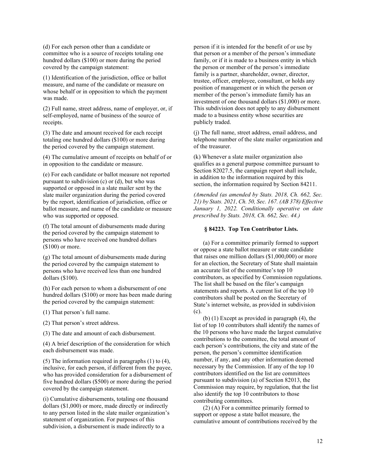(d) For each person other than a candidate or committee who is a source of receipts totaling one hundred dollars (\$100) or more during the period covered by the campaign statement:

(1) Identification of the jurisdiction, office or ballot measure, and name of the candidate or measure on whose behalf or in opposition to which the payment was made.

(2) Full name, street address, name of employer, or, if self-employed, name of business of the source of receipts.

(3) The date and amount received for each receipt totaling one hundred dollars (\$100) or more during the period covered by the campaign statement.

(4) The cumulative amount of receipts on behalf of or in opposition to the candidate or measure.

(e) For each candidate or ballot measure not reported pursuant to subdivision (c) or (d), but who was supported or opposed in a slate mailer sent by the slate mailer organization during the period covered by the report, identification of jurisdiction, office or ballot measure, and name of the candidate or measure who was supported or opposed.

(f) The total amount of disbursements made during the period covered by the campaign statement to persons who have received one hundred dollars (\$100) or more.

(g) The total amount of disbursements made during the period covered by the campaign statement to persons who have received less than one hundred dollars (\$100).

(h) For each person to whom a disbursement of one hundred dollars (\$100) or more has been made during the period covered by the campaign statement:

- (1) That person's full name.
- (2) That person's street address.
- (3) The date and amount of each disbursement.

(4) A brief description of the consideration for which each disbursement was made.

(5) The information required in paragraphs (1) to (4), inclusive, for each person, if different from the payee, who has provided consideration for a disbursement of five hundred dollars (\$500) or more during the period covered by the campaign statement.

(i) Cumulative disbursements, totaling one thousand dollars (\$1,000) or more, made directly or indirectly to any person listed in the slate mailer organization's statement of organization. For purposes of this subdivision, a disbursement is made indirectly to a

person if it is intended for the benefit of or use by that person or a member of the person's immediate family, or if it is made to a business entity in which the person or member of the person's immediate family is a partner, shareholder, owner, director, trustee, officer, employee, consultant, or holds any position of management or in which the person or member of the person's immediate family has an investment of one thousand dollars (\$1,000) or more. This subdivision does not apply to any disbursement made to a business entity whose securities are publicly traded.

(j) The full name, street address, email address, and telephone number of the slate mailer organization and of the treasurer.

(k) Whenever a slate mailer organization also qualifies as a general purpose committee pursuant to Section 82027.5, the campaign report shall include, in addition to the information required by this section, the information required by Section 84211.

*(Amended (as amended by Stats. 2018, Ch. 662, Sec. 21) by Stats. 2021, Ch. 50, Sec. 167. (AB 378) Effective January 1, 2022. Conditionally operative on date prescribed by Stats. 2018, Ch. 662, Sec. 44.)*

## **§ 84223. Top Ten Contributor Lists.**

(a) For a committee primarily formed to support or oppose a state ballot measure or state candidate that raises one million dollars (\$1,000,000) or more for an election, the Secretary of State shall maintain an accurate list of the committee's top 10 contributors, as specified by Commission regulations. The list shall be based on the filer's campaign statements and reports. A current list of the top 10 contributors shall be posted on the Secretary of State's internet website, as provided in subdivision (c).

(b) (1) Except as provided in paragraph (4), the list of top 10 contributors shall identify the names of the 10 persons who have made the largest cumulative contributions to the committee, the total amount of each person's contributions, the city and state of the person, the person's committee identification number, if any, and any other information deemed necessary by the Commission. If any of the top 10 contributors identified on the list are committees pursuant to subdivision (a) of Section 82013, the Commission may require, by regulation, that the list also identify the top 10 contributors to those contributing committees.

(2) (A) For a committee primarily formed to support or oppose a state ballot measure, the cumulative amount of contributions received by the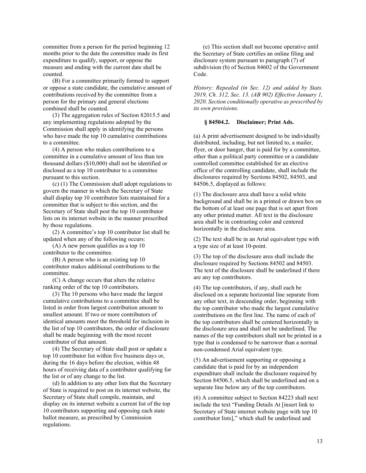committee from a person for the period beginning 12 months prior to the date the committee made its first expenditure to qualify, support, or oppose the measure and ending with the current date shall be counted.

(B) For a committee primarily formed to support or oppose a state candidate, the cumulative amount of contributions received by the committee from a person for the primary and general elections combined shall be counted.

(3) The aggregation rules of Section 82015.5 and any implementing regulations adopted by the Commission shall apply in identifying the persons who have made the top 10 cumulative contributions to a committee.

(4) A person who makes contributions to a committee in a cumulative amount of less than ten thousand dollars (\$10,000) shall not be identified or disclosed as a top 10 contributor to a committee pursuant to this section.

(c) (1) The Commission shall adopt regulations to govern the manner in which the Secretary of State shall display top 10 contributor lists maintained for a committee that is subject to this section, and the Secretary of State shall post the top 10 contributor lists on its internet website in the manner prescribed by those regulations.

(2) A committee's top 10 contributor list shall be updated when any of the following occurs:

(A) A new person qualifies as a top 10 contributor to the committee.

(B) A person who is an existing top 10 contributor makes additional contributions to the committee.

(C) A change occurs that alters the relative ranking order of the top 10 contributors.

(3) The 10 persons who have made the largest cumulative contributions to a committee shall be listed in order from largest contribution amount to smallest amount. If two or more contributors of identical amounts meet the threshold for inclusion in the list of top 10 contributors, the order of disclosure shall be made beginning with the most recent contributor of that amount.

(4) The Secretary of State shall post or update a top 10 contributor list within five business days or, during the 16 days before the election, within 48 hours of receiving data of a contributor qualifying for the list or of any change to the list.

(d) In addition to any other lists that the Secretary of State is required to post on its internet website, the Secretary of State shall compile, maintain, and display on its internet website a current list of the top 10 contributors supporting and opposing each state ballot measure, as prescribed by Commission regulations.

(e) This section shall not become operative until the Secretary of State certifies an online filing and disclosure system pursuant to paragraph (7) of subdivision (b) of Section 84602 of the Government Code.

*History: Repealed (in Sec. 12) and added by Stats. 2019, Ch. 312, Sec. 13. (AB 902) Effective January 1, 2020. Section conditionally operative as prescribed by its own provisions.*

## **§ 84504.2. Disclaimer; Print Ads.**

(a) A print advertisement designed to be individually distributed, including, but not limited to, a mailer, flyer, or door hanger, that is paid for by a committee, other than a political party committee or a candidate controlled committee established for an elective office of the controlling candidate, shall include the disclosures required by Sections 84502, 84503, and 84506.5, displayed as follows:

(1) The disclosure area shall have a solid white background and shall be in a printed or drawn box on the bottom of at least one page that is set apart from any other printed matter. All text in the disclosure area shall be in contrasting color and centered horizontally in the disclosure area.

(2) The text shall be in an Arial equivalent type with a type size of at least 10-point.

(3) The top of the disclosure area shall include the disclosure required by Sections 84502 and 84503. The text of the disclosure shall be underlined if there are any top contributors.

(4) The top contributors, if any, shall each be disclosed on a separate horizontal line separate from any other text, in descending order, beginning with the top contributor who made the largest cumulative contributions on the first line. The name of each of the top contributors shall be centered horizontally in the disclosure area and shall not be underlined. The names of the top contributors shall not be printed in a type that is condensed to be narrower than a normal non-condensed Arial equivalent type.

(5) An advertisement supporting or opposing a candidate that is paid for by an independent expenditure shall include the disclosure required by Section 84506.5, which shall be underlined and on a separate line below any of the top contributors.

(6) A committee subject to Section 84223 shall next include the text "Funding Details At [insert link to Secretary of State internet website page with top 10 contributor lists]," which shall be underlined and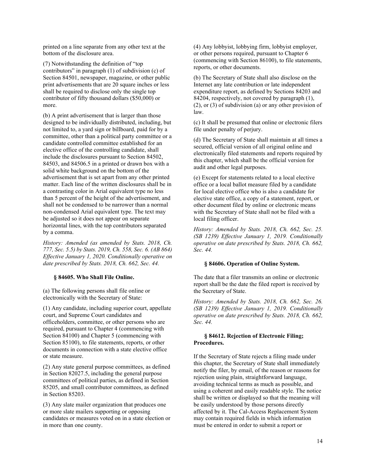printed on a line separate from any other text at the bottom of the disclosure area.

(7) Notwithstanding the definition of "top contributors" in paragraph (1) of subdivision (c) of Section 84501, newspaper, magazine, or other public print advertisements that are 20 square inches or less shall be required to disclose only the single top contributor of fifty thousand dollars (\$50,000) or more.

(b) A print advertisement that is larger than those designed to be individually distributed, including, but not limited to, a yard sign or billboard, paid for by a committee, other than a political party committee or a candidate controlled committee established for an elective office of the controlling candidate, shall include the disclosures pursuant to Section 84502, 84503, and 84506.5 in a printed or drawn box with a solid white background on the bottom of the advertisement that is set apart from any other printed matter. Each line of the written disclosures shall be in a contrasting color in Arial equivalent type no less than 5 percent of the height of the advertisement, and shall not be condensed to be narrower than a normal non-condensed Arial equivalent type. The text may be adjusted so it does not appear on separate horizontal lines, with the top contributors separated by a comma.

*History: Amended (as amended by Stats. 2018, Ch. 777, Sec. 5.5) by Stats. 2019, Ch. 558, Sec. 6. (AB 864) Effective January 1, 2020. Conditionally operative on date prescribed by Stats. 2018, Ch. 662, Sec. 44.*

#### **§ 84605. Who Shall File Online.**

(a) The following persons shall file online or electronically with the Secretary of State:

(1) Any candidate, including superior court, appellate court, and Supreme Court candidates and officeholders, committee, or other persons who are required, pursuant to Chapter 4 (commencing with Section 84100) and Chapter 5 (commencing with Section 85100), to file statements, reports, or other documents in connection with a state elective office or state measure.

(2) Any state general purpose committees, as defined in Section 82027.5, including the general purpose committees of political parties, as defined in Section 85205, and small contributor committees, as defined in Section 85203.

(3) Any slate mailer organization that produces one or more slate mailers supporting or opposing candidates or measures voted on in a state election or in more than one county.

(4) Any lobbyist, lobbying firm, lobbyist employer, or other persons required, pursuant to Chapter 6 (commencing with Section 86100), to file statements, reports, or other documents.

(b) The Secretary of State shall also disclose on the Internet any late contribution or late independent expenditure report, as defined by Sections 84203 and 84204, respectively, not covered by paragraph (1), (2), or (3) of subdivision (a) or any other provision of law.

(c) It shall be presumed that online or electronic filers file under penalty of perjury.

(d) The Secretary of State shall maintain at all times a secured, official version of all original online and electronically filed statements and reports required by this chapter, which shall be the official version for audit and other legal purposes.

(e) Except for statements related to a local elective office or a local ballot measure filed by a candidate for local elective office who is also a candidate for elective state office, a copy of a statement, report, or other document filed by online or electronic means with the Secretary of State shall not be filed with a local filing officer.

*History: Amended by Stats. 2018, Ch. 662, Sec. 25. (SB 1239) Effective January 1, 2019. Conditionally operative on date prescribed by Stats. 2018, Ch. 662, Sec. 44.*

#### **§ 84606. Operation of Online System.**

The date that a filer transmits an online or electronic report shall be the date the filed report is received by the Secretary of State.

*History: Amended by Stats. 2018, Ch. 662, Sec. 26. (SB 1239) Effective January 1, 2019. Conditionally operative on date prescribed by Stats. 2018, Ch. 662, Sec. 44.*

## **§ 84612. Rejection of Electronic Filing; Procedures.**

If the Secretary of State rejects a filing made under this chapter, the Secretary of State shall immediately notify the filer, by email, of the reason or reasons for rejection using plain, straightforward language, avoiding technical terms as much as possible, and using a coherent and easily readable style. The notice shall be written or displayed so that the meaning will be easily understood by those persons directly affected by it. The Cal-Access Replacement System may contain required fields in which information must be entered in order to submit a report or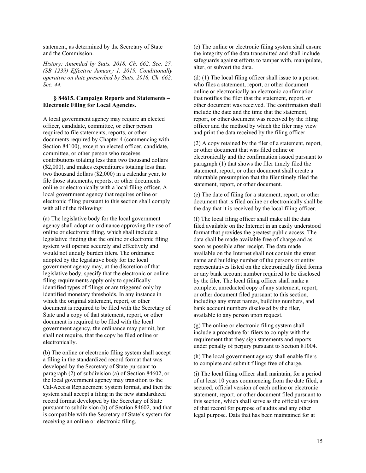statement, as determined by the Secretary of State and the Commission.

*History: Amended by Stats. 2018, Ch. 662, Sec. 27. (SB 1239) Effective January 1, 2019. Conditionally operative on date prescribed by Stats. 2018, Ch. 662, Sec. 44.*

## **§ 84615. Campaign Reports and Statements – Electronic Filing for Local Agencies.**

A local government agency may require an elected officer, candidate, committee, or other person required to file statements, reports, or other documents required by Chapter 4 (commencing with Section 84100), except an elected officer, candidate, committee, or other person who receives contributions totaling less than two thousand dollars (\$2,000), and makes expenditures totaling less than two thousand dollars (\$2,000) in a calendar year, to file those statements, reports, or other documents online or electronically with a local filing officer. A local government agency that requires online or electronic filing pursuant to this section shall comply with all of the following:

(a) The legislative body for the local government agency shall adopt an ordinance approving the use of online or electronic filing, which shall include a legislative finding that the online or electronic filing system will operate securely and effectively and would not unduly burden filers. The ordinance adopted by the legislative body for the local government agency may, at the discretion of that legislative body, specify that the electronic or online filing requirements apply only to specifically identified types of filings or are triggered only by identified monetary thresholds. In any instance in which the original statement, report, or other document is required to be filed with the Secretary of State and a copy of that statement, report, or other document is required to be filed with the local government agency, the ordinance may permit, but shall not require, that the copy be filed online or electronically.

(b) The online or electronic filing system shall accept a filing in the standardized record format that was developed by the Secretary of State pursuant to paragraph (2) of subdivision (a) of Section 84602, or the local government agency may transition to the Cal-Access Replacement System format, and then the system shall accept a filing in the new standardized record format developed by the Secretary of State pursuant to subdivision (b) of Section 84602, and that is compatible with the Secretary of State's system for receiving an online or electronic filing.

(c) The online or electronic filing system shall ensure the integrity of the data transmitted and shall include safeguards against efforts to tamper with, manipulate, alter, or subvert the data.

(d) (1) The local filing officer shall issue to a person who files a statement, report, or other document online or electronically an electronic confirmation that notifies the filer that the statement, report, or other document was received. The confirmation shall include the date and the time that the statement, report, or other document was received by the filing officer and the method by which the filer may view and print the data received by the filing officer.

(2) A copy retained by the filer of a statement, report, or other document that was filed online or electronically and the confirmation issued pursuant to paragraph (1) that shows the filer timely filed the statement, report, or other document shall create a rebuttable presumption that the filer timely filed the statement, report, or other document.

(e) The date of filing for a statement, report, or other document that is filed online or electronically shall be the day that it is received by the local filing officer.

(f) The local filing officer shall make all the data filed available on the Internet in an easily understood format that provides the greatest public access. The data shall be made available free of charge and as soon as possible after receipt. The data made available on the Internet shall not contain the street name and building number of the persons or entity representatives listed on the electronically filed forms or any bank account number required to be disclosed by the filer. The local filing officer shall make a complete, unredacted copy of any statement, report, or other document filed pursuant to this section, including any street names, building numbers, and bank account numbers disclosed by the filer, available to any person upon request.

(g) The online or electronic filing system shall include a procedure for filers to comply with the requirement that they sign statements and reports under penalty of perjury pursuant to Section 81004.

(h) The local government agency shall enable filers to complete and submit filings free of charge.

(i) The local filing officer shall maintain, for a period of at least 10 years commencing from the date filed, a secured, official version of each online or electronic statement, report, or other document filed pursuant to this section, which shall serve as the official version of that record for purpose of audits and any other legal purpose. Data that has been maintained for at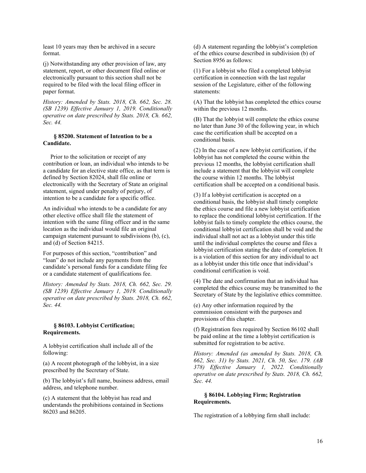least 10 years may then be archived in a secure format.

(j) Notwithstanding any other provision of law, any statement, report, or other document filed online or electronically pursuant to this section shall not be required to be filed with the local filing officer in paper format.

*History: Amended by Stats. 2018, Ch. 662, Sec. 28. (SB 1239) Effective January 1, 2019. Conditionally operative on date prescribed by Stats. 2018, Ch. 662, Sec. 44.*

## **§ 85200. Statement of Intention to be a Candidate.**

Prior to the solicitation or receipt of any contribution or loan, an individual who intends to be a candidate for an elective state office, as that term is defined by Section 82024, shall file online or electronically with the Secretary of State an original statement, signed under penalty of perjury, of intention to be a candidate for a specific office.

An individual who intends to be a candidate for any other elective office shall file the statement of intention with the same filing officer and in the same location as the individual would file an original campaign statement pursuant to subdivisions (b), (c), and (d) of Section 84215.

For purposes of this section, "contribution" and "loan" do not include any payments from the candidate's personal funds for a candidate filing fee or a candidate statement of qualifications fee.

*History: Amended by Stats. 2018, Ch. 662, Sec. 29. (SB 1239) Effective January 1, 2019. Conditionally operative on date prescribed by Stats. 2018, Ch. 662, Sec. 44.*

## **§ 86103. Lobbyist Certification; Requirements.**

A lobbyist certification shall include all of the following:

(a) A recent photograph of the lobbyist, in a size prescribed by the Secretary of State.

(b) The lobbyist's full name, business address, email address, and telephone number.

(c) A statement that the lobbyist has read and understands the prohibitions contained in Sections 86203 and 86205.

(d) A statement regarding the lobbyist's completion of the ethics course described in subdivision (b) of Section 8956 as follows:

(1) For a lobbyist who filed a completed lobbyist certification in connection with the last regular session of the Legislature, either of the following statements:

(A) That the lobbyist has completed the ethics course within the previous 12 months.

(B) That the lobbyist will complete the ethics course no later than June 30 of the following year, in which case the certification shall be accepted on a conditional basis.

(2) In the case of a new lobbyist certification, if the lobbyist has not completed the course within the previous 12 months, the lobbyist certification shall include a statement that the lobbyist will complete the course within 12 months. The lobbyist certification shall be accepted on a conditional basis.

(3) If a lobbyist certification is accepted on a conditional basis, the lobbyist shall timely complete the ethics course and file a new lobbyist certification to replace the conditional lobbyist certification. If the lobbyist fails to timely complete the ethics course, the conditional lobbyist certification shall be void and the individual shall not act as a lobbyist under this title until the individual completes the course and files a lobbyist certification stating the date of completion. It is a violation of this section for any individual to act as a lobbyist under this title once that individual's conditional certification is void.

(4) The date and confirmation that an individual has completed the ethics course may be transmitted to the Secretary of State by the legislative ethics committee.

(e) Any other information required by the commission consistent with the purposes and provisions of this chapter.

(f) Registration fees required by Section 86102 shall be paid online at the time a lobbyist certification is submitted for registration to be active.

*History: Amended (as amended by Stats. 2018, Ch. 662, Sec. 31) by Stats. 2021, Ch. 50, Sec. 179. (AB 378) Effective January 1, 2022. Conditionally operative on date prescribed by Stats. 2018, Ch. 662, Sec. 44.*

### **§ 86104. Lobbying Firm; Registration Requirements.**

The registration of a lobbying firm shall include: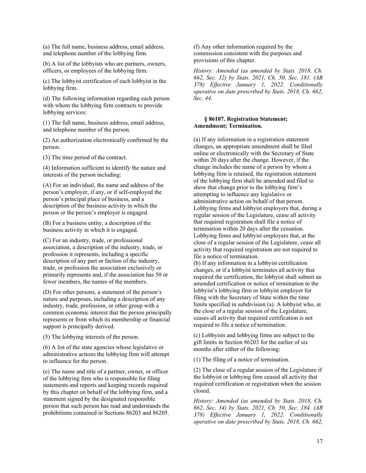(a) The full name, business address, email address, and telephone number of the lobbying firm.

(b) A list of the lobbyists who are partners, owners, officers, or employees of the lobbying firm.

(c) The lobbyist certification of each lobbyist in the lobbying firm.

(d) The following information regarding each person with whom the lobbying firm contracts to provide lobbying services:

(1) The full name, business address, email address, and telephone number of the person.

(2) An authorization electronically confirmed by the person.

(3) The time period of the contract.

(4) Information sufficient to identify the nature and interests of the person including:

(A) For an individual, the name and address of the person's employer, if any, or if self-employed the person's principal place of business, and a description of the business activity in which the person or the person's employer is engaged.

(B) For a business entity, a description of the business activity in which it is engaged.

(C) For an industry, trade, or professional association, a description of the industry, trade, or profession it represents, including a specific description of any part or faction of the industry, trade, or profession the association exclusively or primarily represents and, if the association has 50 or fewer members, the names of the members.

(D) For other persons, a statement of the person's nature and purposes, including a description of any industry, trade, profession, or other group with a common economic interest that the person principally represents or from which its membership or financial support is principally derived.

(5) The lobbying interests of the person.

(6) A list of the state agencies whose legislative or administrative actions the lobbying firm will attempt to influence for the person.

(e) The name and title of a partner, owner, or officer of the lobbying firm who is responsible for filing statements and reports and keeping records required by this chapter on behalf of the lobbying firm, and a statement signed by the designated responsible person that such person has read and understands the prohibitions contained in Sections 86203 and 86205.

(f) Any other information required by the commission consistent with the purposes and provisions of this chapter.

*History: Amended (as amended by Stats. 2018, Ch. 662, Sec. 32) by Stats. 2021, Ch. 50, Sec. 181. (AB 378) Effective January 1, 2022. Conditionally operative on date prescribed by Stats. 2018, Ch. 662, Sec. 44.*

### **§ 86107. Registration Statement; Amendment; Termination.**

(a) If any information in a registration statement changes, an appropriate amendment shall be filed online or electronically with the Secretary of State within 20 days after the change. However, if the change includes the name of a person by whom a lobbying firm is retained, the registration statement of the lobbying firm shall be amended and filed to show that change prior to the lobbying firm's attempting to influence any legislative or administrative action on behalf of that person. Lobbying firms and lobbyist employers that, during a regular session of the Legislature, cease all activity that required registration shall file a notice of termination within 20 days after the cessation. Lobbying firms and lobbyist employers that, at the close of a regular session of the Legislature, cease all activity that required registration are not required to file a notice of termination.

(b) If any information in a lobbyist certification changes, or if a lobbyist terminates all activity that required the certification, the lobbyist shall submit an amended certification or notice of termination to the lobbyist's lobbying firm or lobbyist employer for filing with the Secretary of State within the time limits specified in subdivision (a). A lobbyist who, at the close of a regular session of the Legislature, ceases all activity that required certification is not required to file a notice of termination.

(c) Lobbyists and lobbying firms are subject to the gift limits in Section 86203 for the earlier of six months after either of the following:

(1) The filing of a notice of termination.

(2) The close of a regular session of the Legislature if the lobbyist or lobbying firm ceased all activity that required certification or registration when the session closed.

*History: Amended (as amended by Stats. 2018, Ch. 662, Sec. 34) by Stats. 2021, Ch. 50, Sec. 184. (AB 378) Effective January 1, 2022. Conditionally operative on date prescribed by Stats. 2018, Ch. 662,*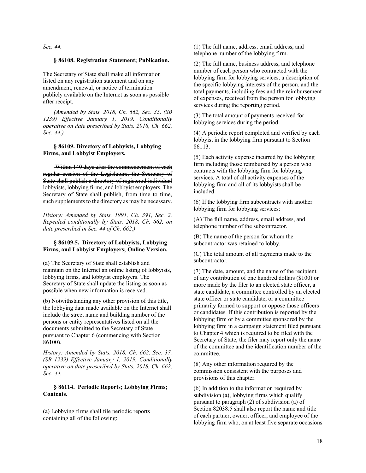*Sec. 44.*

#### **§ 86108. Registration Statement; Publication.**

The Secretary of State shall make all information listed on any registration statement and on any amendment, renewal, or notice of termination publicly available on the Internet as soon as possible after receipt.

*(Amended by Stats. 2018, Ch. 662, Sec. 35. (SB 1239) Effective January 1, 2019. Conditionally operative on date prescribed by Stats. 2018, Ch. 662, Sec. 44.)*

#### **§ 86109. Directory of Lobbyists, Lobbying Firms, and Lobbyist Employers.**

Within 140 days after the commencement of each regular session of the Legislature, the Secretary of State shall publish a directory of registered individual lobbyists, lobbying firms, and lobbyist employers. The Secretary of State shall publish, from time to time, such supplements to the directory as may be necessary.

*History: Amended by Stats. 1991, Ch. 391, Sec. 2. Repealed conditionally by Stats. 2018, Ch. 662, on date prescribed in Sec. 44 of Ch. 662.)*

## **§ 86109.5. Directory of Lobbyists, Lobbying Firms, and Lobbyist Employers; Online Version.**

(a) The Secretary of State shall establish and maintain on the Internet an online listing of lobbyists, lobbying firms, and lobbyist employers. The Secretary of State shall update the listing as soon as possible when new information is received.

(b) Notwithstanding any other provision of this title, the lobbying data made available on the Internet shall include the street name and building number of the persons or entity representatives listed on all the documents submitted to the Secretary of State pursuant to Chapter 6 (commencing with Section 86100).

*History: Amended by Stats. 2018, Ch. 662, Sec. 37. (SB 1239) Effective January 1, 2019. Conditionally operative on date prescribed by Stats. 2018, Ch. 662, Sec. 44.*

### **§ 86114. Periodic Reports; Lobbying Firms; Contents.**

(a) Lobbying firms shall file periodic reports containing all of the following:

(1) The full name, address, email address, and telephone number of the lobbying firm.

(2) The full name, business address, and telephone number of each person who contracted with the lobbying firm for lobbying services, a description of the specific lobbying interests of the person, and the total payments, including fees and the reimbursement of expenses, received from the person for lobbying services during the reporting period.

(3) The total amount of payments received for lobbying services during the period.

(4) A periodic report completed and verified by each lobbyist in the lobbying firm pursuant to Section 86113.

(5) Each activity expense incurred by the lobbying firm including those reimbursed by a person who contracts with the lobbying firm for lobbying services. A total of all activity expenses of the lobbying firm and all of its lobbyists shall be included.

(6) If the lobbying firm subcontracts with another lobbying firm for lobbying services:

(A) The full name, address, email address, and telephone number of the subcontractor.

(B) The name of the person for whom the subcontractor was retained to lobby.

(C) The total amount of all payments made to the subcontractor.

(7) The date, amount, and the name of the recipient of any contribution of one hundred dollars (\$100) or more made by the filer to an elected state officer, a state candidate, a committee controlled by an elected state officer or state candidate, or a committee primarily formed to support or oppose those officers or candidates. If this contribution is reported by the lobbying firm or by a committee sponsored by the lobbying firm in a campaign statement filed pursuant to Chapter 4 which is required to be filed with the Secretary of State, the filer may report only the name of the committee and the identification number of the committee.

(8) Any other information required by the commission consistent with the purposes and provisions of this chapter.

(b) In addition to the information required by subdivision (a), lobbying firms which qualify pursuant to paragraph (2) of subdivision (a) of Section 82038.5 shall also report the name and title of each partner, owner, officer, and employee of the lobbying firm who, on at least five separate occasions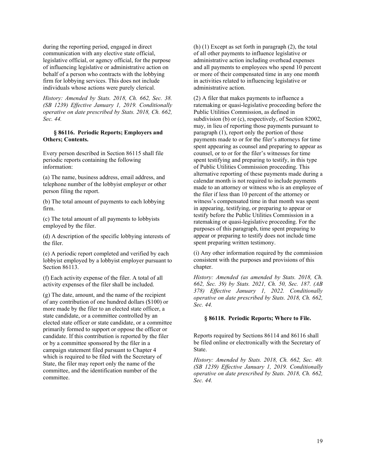during the reporting period, engaged in direct communication with any elective state official, legislative official, or agency official, for the purpose of influencing legislative or administrative action on behalf of a person who contracts with the lobbying firm for lobbying services. This does not include individuals whose actions were purely clerical.

*History: Amended by Stats. 2018, Ch. 662, Sec. 38. (SB 1239) Effective January 1, 2019. Conditionally operative on date prescribed by Stats. 2018, Ch. 662, Sec. 44.*

## **§ 86116. Periodic Reports; Employers and Others; Contents.**

Every person described in Section 86115 shall file periodic reports containing the following information:

(a) The name, business address, email address, and telephone number of the lobbyist employer or other person filing the report.

(b) The total amount of payments to each lobbying firm.

(c) The total amount of all payments to lobbyists employed by the filer.

(d) A description of the specific lobbying interests of the filer.

(e) A periodic report completed and verified by each lobbyist employed by a lobbyist employer pursuant to Section 86113.

(f) Each activity expense of the filer. A total of all activity expenses of the filer shall be included.

(g) The date, amount, and the name of the recipient of any contribution of one hundred dollars (\$100) or more made by the filer to an elected state officer, a state candidate, or a committee controlled by an elected state officer or state candidate, or a committee primarily formed to support or oppose the officer or candidate. If this contribution is reported by the filer or by a committee sponsored by the filer in a campaign statement filed pursuant to Chapter 4 which is required to be filed with the Secretary of State, the filer may report only the name of the committee, and the identification number of the committee.

(h) (1) Except as set forth in paragraph (2), the total of all other payments to influence legislative or administrative action including overhead expenses and all payments to employees who spend 10 percent or more of their compensated time in any one month in activities related to influencing legislative or administrative action.

(2) A filer that makes payments to influence a ratemaking or quasi-legislative proceeding before the Public Utilities Commission, as defined in subdivision (b) or (c), respectively, of Section 82002, may, in lieu of reporting those payments pursuant to paragraph (1), report only the portion of those payments made to or for the filer's attorneys for time spent appearing as counsel and preparing to appear as counsel, or to or for the filer's witnesses for time spent testifying and preparing to testify, in this type of Public Utilities Commission proceeding. This alternative reporting of these payments made during a calendar month is not required to include payments made to an attorney or witness who is an employee of the filer if less than 10 percent of the attorney or witness's compensated time in that month was spent in appearing, testifying, or preparing to appear or testify before the Public Utilities Commission in a ratemaking or quasi-legislative proceeding. For the purposes of this paragraph, time spent preparing to appear or preparing to testify does not include time spent preparing written testimony.

(i) Any other information required by the commission consistent with the purposes and provisions of this chapter.

*History: Amended (as amended by Stats. 2018, Ch. 662, Sec. 39) by Stats. 2021, Ch. 50, Sec. 187. (AB 378) Effective January 1, 2022. Conditionally operative on date prescribed by Stats. 2018, Ch. 662, Sec. 44.*

## **§ 86118. Periodic Reports; Where to File.**

Reports required by Sections 86114 and 86116 shall be filed online or electronically with the Secretary of State.

*History: Amended by Stats. 2018, Ch. 662, Sec. 40. (SB 1239) Effective January 1, 2019. Conditionally operative on date prescribed by Stats. 2018, Ch. 662, Sec. 44.*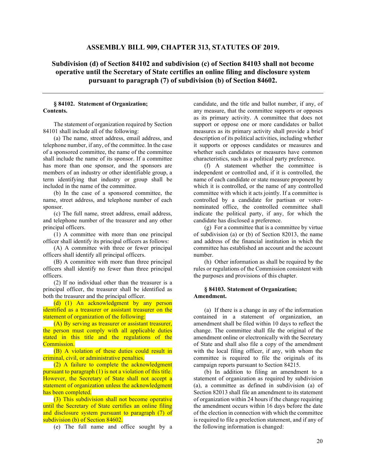## **ASSEMBLY BILL 909, CHAPTER 313, STATUTES OF 2019.**

# **Subdivision (d) of Section 84102 and subdivision (c) of Section 84103 shall not become operative until the Secretary of State certifies an online filing and disclosure system pursuant to paragraph (7) of subdivision (b) of Section 84602.**

#### **§ 84102. Statement of Organization; Contents.**

The statement of organization required by Section 84101 shall include all of the following:

(a) The name, street address, email address, and telephone number, if any, of the committee. In the case of a sponsored committee, the name of the committee shall include the name of its sponsor. If a committee has more than one sponsor, and the sponsors are members of an industry or other identifiable group, a term identifying that industry or group shall be included in the name of the committee.

(b) In the case of a sponsored committee, the name, street address, and telephone number of each sponsor.

(c) The full name, street address, email address, and telephone number of the treasurer and any other principal officers.

(1) A committee with more than one principal officer shall identify its principal officers as follows:

(A) A committee with three or fewer principal officers shall identify all principal officers.

(B) A committee with more than three principal officers shall identify no fewer than three principal officers.

(2) If no individual other than the treasurer is a principal officer, the treasurer shall be identified as both the treasurer and the principal officer.

(d) (1) An acknowledgment by any person identified as a treasurer or assistant treasurer on the statement of organization of the following:

(A) By serving as treasurer or assistant treasurer, the person must comply with all applicable duties stated in this title and the regulations of the Commission.

(B) A violation of these duties could result in criminal, civil, or administrative penalties.

(2) A failure to complete the acknowledgment pursuant to paragraph (1) is not a violation of this title. However, the Secretary of State shall not accept a statement of organization unless the acknowledgment has been completed.

(3) This subdivision shall not become operative until the Secretary of State certifies an online filing and disclosure system pursuant to paragraph (7) of subdivision (b) of Section 84602.

(e) The full name and office sought by a

candidate, and the title and ballot number, if any, of any measure, that the committee supports or opposes as its primary activity. A committee that does not support or oppose one or more candidates or ballot measures as its primary activity shall provide a brief description of its political activities, including whether it supports or opposes candidates or measures and whether such candidates or measures have common characteristics, such as a political party preference.

(f) A statement whether the committee is independent or controlled and, if it is controlled, the name of each candidate or state measure proponent by which it is controlled, or the name of any controlled committee with which it acts jointly. If a committee is controlled by a candidate for partisan or voternominated office, the controlled committee shall indicate the political party, if any, for which the candidate has disclosed a preference.

(g) For a committee that is a committee by virtue of subdivision (a) or (b) of Section 82013, the name and address of the financial institution in which the committee has established an account and the account number.

(h) Other information as shall be required by the rules or regulations of the Commission consistent with the purposes and provisions of this chapter.

## **§ 84103. Statement of Organization; Amendment.**

(a) If there is a change in any of the information contained in a statement of organization, an amendment shall be filed within 10 days to reflect the change. The committee shall file the original of the amendment online or electronically with the Secretary of State and shall also file a copy of the amendment with the local filing officer, if any, with whom the committee is required to file the originals of its campaign reports pursuant to Section 84215.

(b) In addition to filing an amendment to a statement of organization as required by subdivision (a), a committee as defined in subdivision (a) of Section 82013 shall file an amendment to its statement of organization within 24 hours if the change requiring the amendment occurs within 16 days before the date of the election in connection with which the committee is required to file a preelection statement, and if any of the following information is changed: